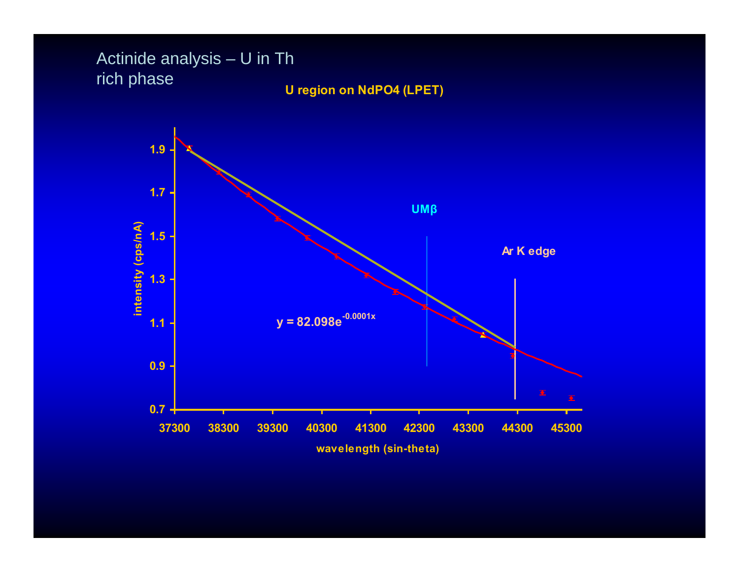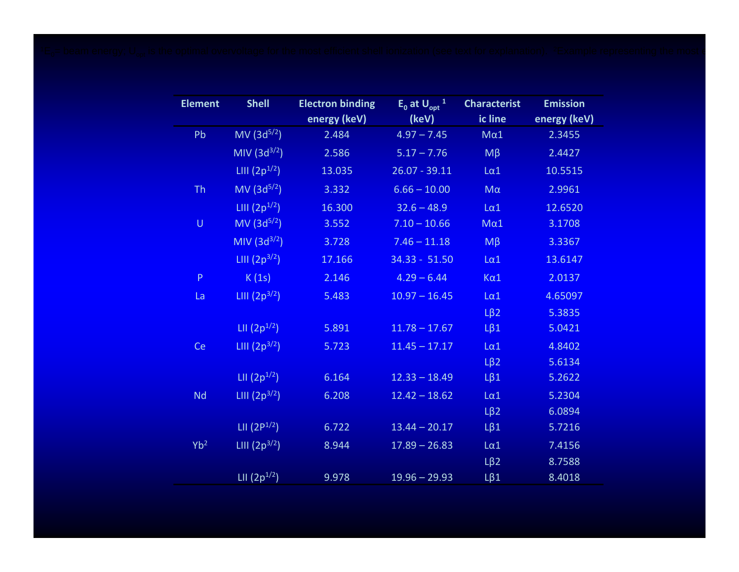| <b>Element</b>  | <b>Shell</b>      | <b>Electron binding</b> | $E_0$ at $U_{\text{opt}}$ <sup>1</sup> | <b>Characterist</b> | <b>Emission</b> |
|-----------------|-------------------|-------------------------|----------------------------------------|---------------------|-----------------|
|                 |                   | energy (keV)            | (keV)                                  | ic line             | energy (keV)    |
| Pb              | $MV (3d^{5/2})$   | 2.484                   | $4.97 - 7.45$                          | $M\alpha1$          | 2.3455          |
|                 | MIV $(3d^{3/2})$  | 2.586                   | $5.17 - 7.76$                          | $M\beta$            | 2.4427          |
|                 | LIII $(2p^{1/2})$ | 13.035                  | $26.07 - 39.11$                        | $L\alpha$ 1         | 10.5515         |
| <b>Th</b>       | $MV (3d^{5/2})$   | 3.332                   | $6.66 - 10.00$                         | $M\alpha$           | 2.9961          |
|                 | LIII $(2p^{1/2})$ | 16.300                  | $32.6 - 48.9$                          | $L\alpha$ 1         | 12.6520         |
| $\sf U$         | $MV (3d^{5/2})$   | 3.552                   | $7.10 - 10.66$                         | $M\alpha$ 1         | 3.1708          |
|                 | MIV $(3d^{3/2})$  | 3.728                   | $7.46 - 11.18$                         | $M\beta$            | 3.3367          |
|                 | LIII $(2p^{3/2})$ | 17.166                  | $34.33 - 51.50$                        | $L\alpha$ 1         | 13.6147         |
| $\mathsf{P}$    | K(1s)             | 2.146                   | $4.29 - 6.44$                          | $K\alpha$ 1         | 2.0137          |
| La              | LIII $(2p^{3/2})$ | 5.483                   | $10.97 - 16.45$                        | $L\alpha$ 1         | 4.65097         |
|                 |                   |                         |                                        | $L\beta$ 2          | 5.3835          |
|                 | LII $(2p^{1/2})$  | 5.891                   | $11.78 - 17.67$                        | $L\beta1$           | 5.0421          |
| Ce              | LIII $(2p^{3/2})$ | 5.723                   | $11.45 - 17.17$                        | $L\alpha$ 1         | 4.8402          |
|                 |                   |                         |                                        | $L\beta$ 2          | 5.6134          |
|                 | LII $(2p^{1/2})$  | 6.164                   | $12.33 - 18.49$                        | $L\beta1$           | 5.2622          |
| <b>Nd</b>       | LIII $(2p^{3/2})$ | 6.208                   | $12.42 - 18.62$                        | $L\alpha$ 1         | 5.2304          |
|                 |                   |                         |                                        | $L\beta$ 2          | 6.0894          |
|                 | LII $(2P^{1/2})$  | 6.722                   | $13.44 - 20.17$                        | $L\beta1$           | 5.7216          |
| Yb <sup>2</sup> | LIII $(2p^{3/2})$ | 8.944                   | $17.89 - 26.83$                        | $L\alpha$ 1         | 7.4156          |
|                 |                   |                         |                                        | $L\beta$ 2          | 8.7588          |
|                 | LII $(2p^{1/2})$  | 9.978                   | $19.96 - 29.93$                        | $L\beta1$           | 8.4018          |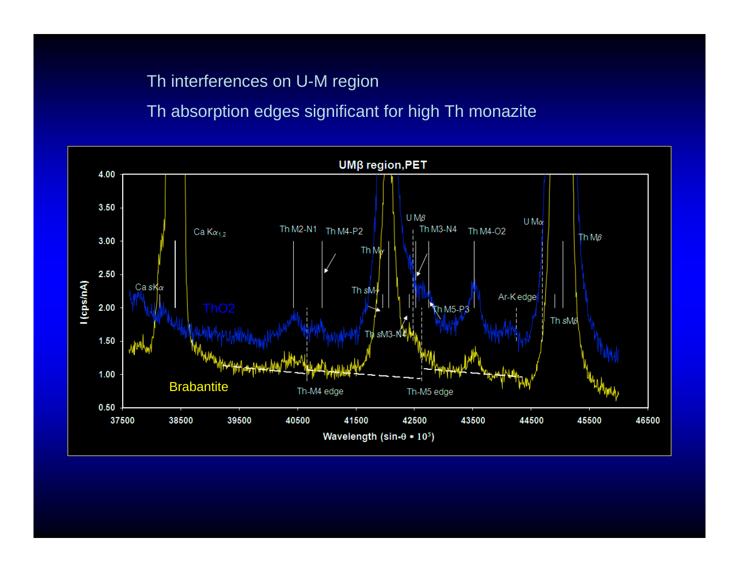# Th interferences on U-M region

# Th absorption edges significant for high Th monazite

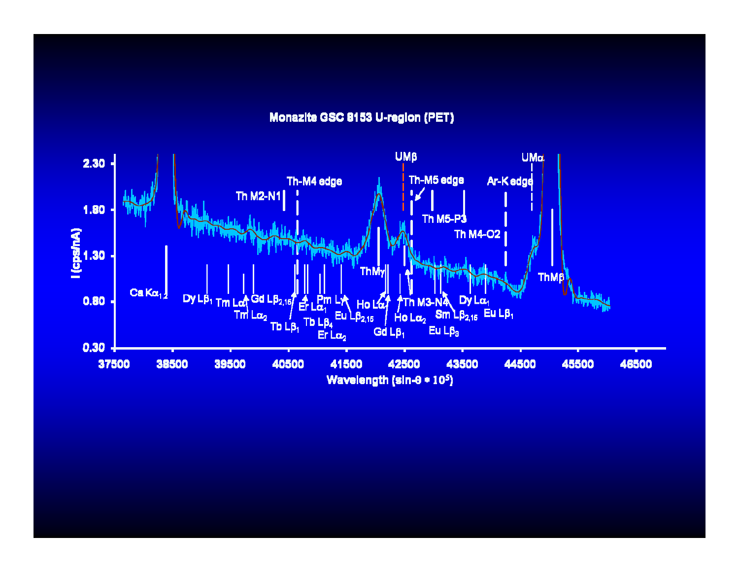#### Monazite GSC 8153 U-region (PET)

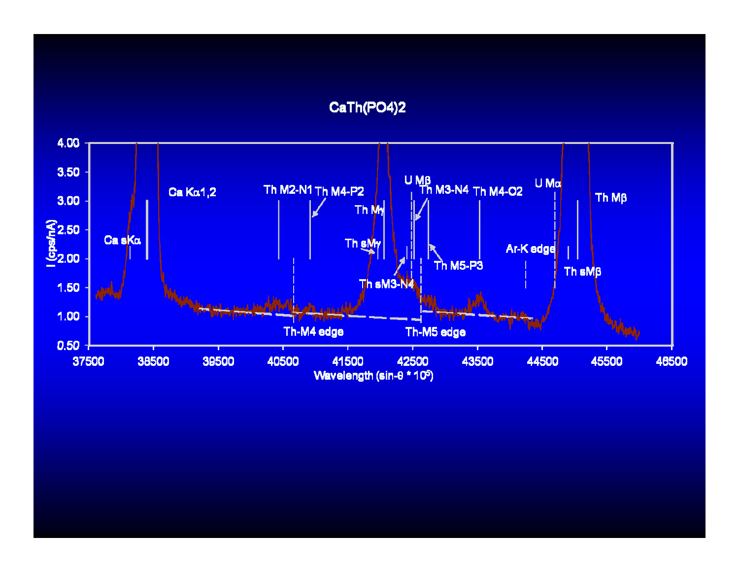## CaTh(PO4)2

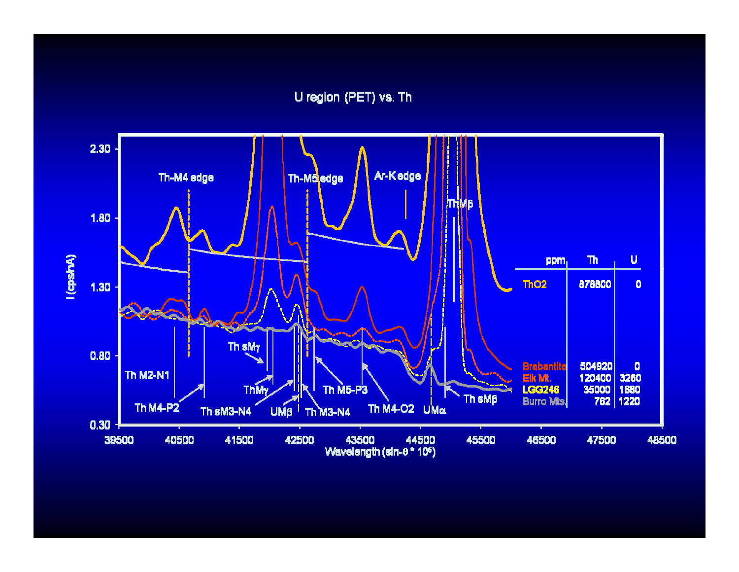U region (PET) vs. Th

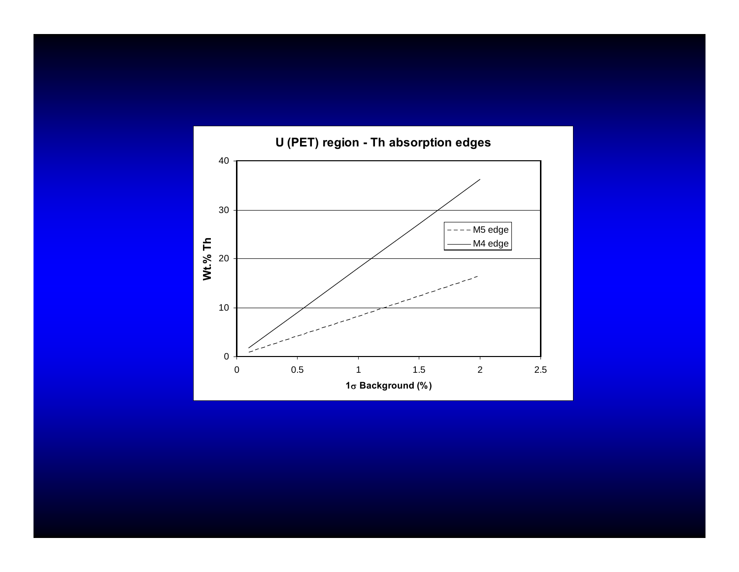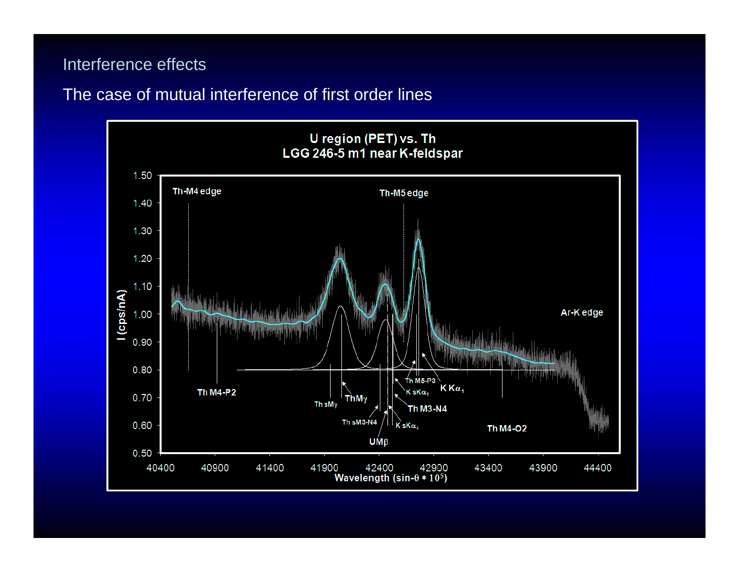#### Interference effects

## The case of mutual interference of first order lines